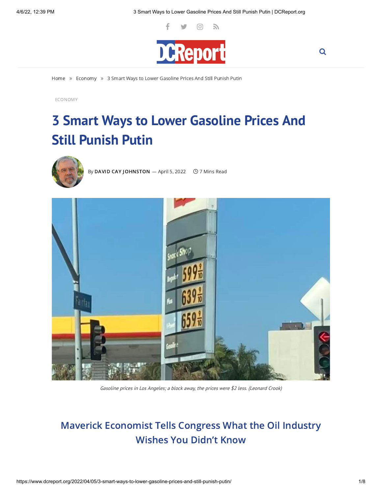Q



[Home](https://www.dcreport.org/) » [Economy](https://www.dcreport.org/category/economy/) » 3 Smart Ways to Lower Gasoline Prices And Still Punish Putin

[ECONOMY](https://www.dcreport.org/category/economy/)

# **3 Smart Ways to Lower Gasoline Prices And Still Punish Putin**



By DAVID CAY [JOHNSTON](https://www.dcreport.org/author/dcreport/)  $-$  April 5, 2022  $\circ$  7 Mins Read



Gasoline prices in Los Angeles; <sup>a</sup> block away, the prices were \$2 less. (Leonard Crook)

## Maverick Economist Tells Congress What the Oil Industry Wishes You Didn't Know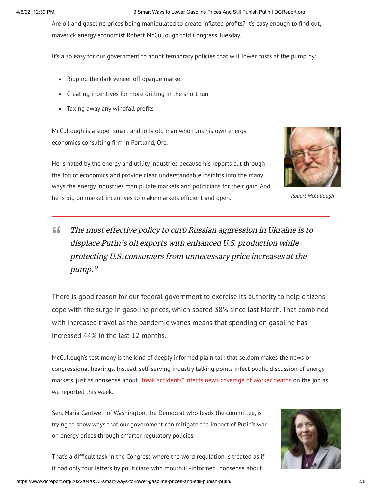#### 4/6/22, 12:39 PM 3 Smart Ways to Lower Gasoline Prices And Still Punish Putin | DCReport.org

Are oil and gasoline prices being manipulated to create inflated profits? It's easy enough to find out, maverick energy economist Robert McCullough told Congress Tuesday.

It's also easy for our government to adopt temporary policies that will lower costs at the pump by:

- Ripping the dark veneer off opaque market
- Creating incentives for more drilling in the short run
- Taxing away any windfall profits

McCullough is a super smart and jolly old man who runs his own energy economics consulting firm in Portland, Ore.

He is hated by the energy and utility industries because his reports cut through the fog of economics and provide clear, understandable insights into the many ways the energy industries manipulate markets and politicians for their gain. And he is big on market incentives to make markets efficient and open.



Robert McCullough

## The most effective policy to curb Russian aggression in Ukraine is to displace Putin's oil exports with enhanced U.S. production while protecting U.S. consumers from unnecessary price increases at the pump."  $66$

There is good reason for our federal government to exercise its authority to help citizens cope with the surge in gasoline prices, which soared 38% since last March. That combined with increased travel as the pandemic wanes means that spending on gasoline has increased 44% in the last 12 months.

McCullough's testimony is the kind of deeply informed plain talk that seldom makes the news or congressional hearings. Instead, self-serving industry talking points infect public discussion of energy markets, just as nonsense about "freak [accidents"](https://www.dcreport.org/2022/04/04/freak-accidents-dont-kill-workers-bad-managements-do/) infects news coverage of worker deaths on the job as we reported this week.

Sen. Maria Cantwell of Washington, the Democrat who leads the committee, is trying to show ways that our government can mitigate the impact of Putin's war on energy prices through smarter regulatory policies.



That's a difficult task in the Congress where the word regulation is treated as if it had only four letters by politicians who mouth ill-informed nonsense about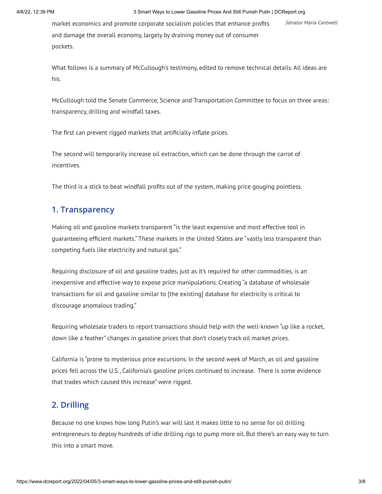market economics and promote corporate socialism policies that enhance profits Senator Maria Cantwell and damage the overall economy, largely by draining money out of consumer pockets.

What follows is a summary of McCullough's testimony, edited to remove technical details. All ideas are his.

McCullough told the Senate Commerce, Science and Transportation Committee to focus on three areas: transparency, drilling and windfall taxes.

The first can prevent rigged markets that artificially inflate prices.

The second will temporarily increase oil extraction, which can be done through the carrot of incentives.

The third is a stick to beat windfall profits out of the system, making price gouging pointless.

## 1. Transparency

Making oil and gasoline markets transparent "is the least expensive and most effective tool in guaranteeing efficient markets." These markets in the United States are "vastly less transparent than competing fuels like electricity and natural gas."

Requiring disclosure of oil and gasoline trades, just as it's required for other commodities, is an inexpensive and effective way to expose price manipulations. Creating "a database of wholesale transactions for oil and gasoline similar to [the existing] database for electricity is critical to discourage anomalous trading."

Requiring wholesale traders to report transactions should help with the well-known "up like a rocket, down like a feather" changes in gasoline prices that don't closely track oil market prices.

California is "prone to mysterious price excursions. In the second week of March, as oil and gasoline prices fell across the U.S., California's gasoline prices continued to increase. There is some evidence that trades which caused this increase" were rigged.

## 2. Drilling

Because no one knows how long Putin's war will last it makes little to no sense for oil drilling entrepreneurs to deploy hundreds of idle drilling rigs to pump more oil. But there's an easy way to turn this into a smart move.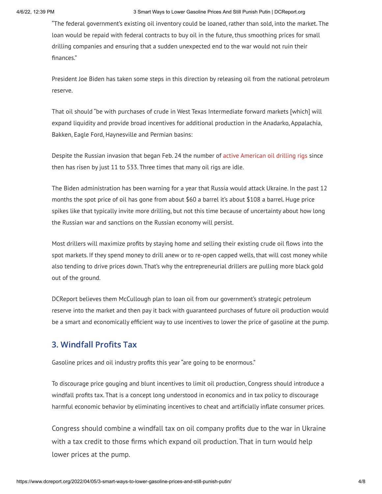"The federal government's existing oil inventory could be loaned, rather than sold, into the market. The loan would be repaid with federal contracts to buy oil in the future, thus smoothing prices for small drilling companies and ensuring that a sudden unexpected end to the war would not ruin their finances."

President Joe Biden has taken some steps in this direction by releasing oil from the national petroleum reserve.

That oil should "be with purchases of crude in West Texas Intermediate forward markets [which] will expand liquidity and provide broad incentives for additional production in the Anadarko, Appalachia, Bakken, Eagle Ford, Haynesville and Permian basins:

Despite the Russian invasion that began Feb. 24 the number of active [American](https://ycharts.com/indicators/us_oil_rotary_rigs) oil drilling rigs since then has risen by just 11 to 533. Three times that many oil rigs are idle.

The Biden administration has been warning for a year that Russia would attack Ukraine. In the past 12 months the spot price of oil has gone from about \$60 a barrel it's about \$108 a barrel. Huge price spikes like that typically invite more drilling, but not this time because of uncertainty about how long the Russian war and sanctions on the Russian economy will persist.

Most drillers will maximize profits by staying home and selling their existing crude oil flows into the spot markets. If they spend money to drill anew or to re-open capped wells, that will cost money while also tending to drive prices down. That's why the entrepreneurial drillers are pulling more black gold out of the ground.

DCReport believes them McCullough plan to loan oil from our government's strategic petroleum reserve into the market and then pay it back with guaranteed purchases of future oil production would be a smart and economically efficient way to use incentives to lower the price of gasoline at the pump.

## 3. Windfall Profits Tax

Gasoline prices and oil industry profits this year "are going to be enormous."

To discourage price gouging and blunt incentives to limit oil production, Congress should introduce a windfall profits tax. That is a concept long understood in economics and in tax policy to discourage harmful economic behavior by eliminating incentives to cheat and artificially inflate consumer prices.

Congress should combine a windfall tax on oil company profits due to the war in Ukraine with a tax credit to those firms which expand oil production. That in turn would help lower prices at the pump.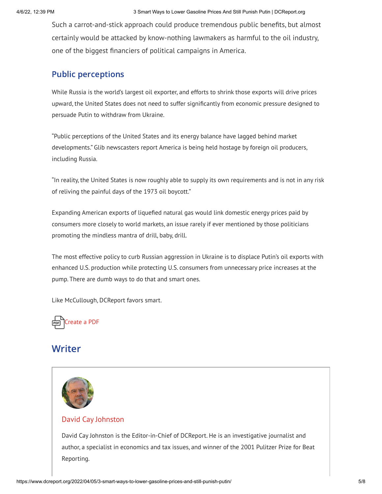Such a carrot-and-stick approach could produce tremendous public benefits, but almost certainly would be attacked by know-nothing lawmakers as harmful to the oil industry, one of the biggest financiers of political campaigns in America.

## Public perceptions

While Russia is the world's largest oil exporter, and efforts to shrink those exports will drive prices upward, the United States does not need to suffer significantly from economic pressure designed to persuade Putin to withdraw from Ukraine.

"Public perceptions of the United States and its energy balance have lagged behind market developments." Glib newscasters report America is being held hostage by foreign oil producers, including Russia.

"In reality, the United States is now roughly able to supply its own requirements and is not in any risk of reliving the painful days of the 1973 oil boycott."

Expanding American exports of liquefied natural gas would link domestic energy prices paid by consumers more closely to world markets, an issue rarely if ever mentioned by those politicians promoting the mindless mantra of drill, baby, drill.

The most effective policy to curb Russian aggression in Ukraine is to displace Putin's oil exports with enhanced U.S. production while protecting U.S. consumers from unnecessary price increases at the pump. There are dumb ways to do that and smart ones.

Like McCullough, DCReport favors smart.



## **Writer**



#### [David Cay](https://www.dcreport.org/author/dcreport/) Johnston

David Cay Johnston is the Editor-in-Chief of DCReport. He is an investigative journalist and author, a specialist in economics and tax issues, and winner of the 2001 Pulitzer Prize for Beat Reporting.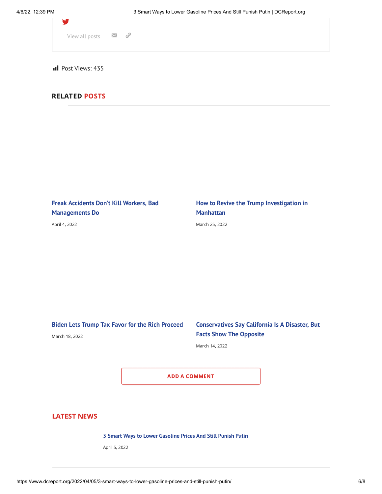| View all posts $\blacksquare$ $\mathscr{O}$ |  |
|---------------------------------------------|--|
|                                             |  |
|                                             |  |

**III** Post Views: 435

#### RELATED POSTS

**Freak Accidents Don't Kill Workers, Bad [Managements](https://www.dcreport.org/2022/04/04/freak-accidents-dont-kill-workers-bad-managements-do/) Do**

April 4, [2022](https://www.dcreport.org/2022/04/04/freak-accidents-dont-kill-workers-bad-managements-do/)

**How to Revive the Trump [Investigation](https://www.dcreport.org/2022/03/25/how-to-revive-the-trump-investigation-in-manhattan/) in Manhattan**

[March](https://www.dcreport.org/2022/03/25/how-to-revive-the-trump-investigation-in-manhattan/) 25, 2022

**Biden Lets Trump Tax Favor for the Rich [Proceed](https://www.dcreport.org/2022/03/18/biden-lets-trump-tax-favor-for-the-rich-proceed/)**

#### [March](https://www.dcreport.org/2022/03/18/biden-lets-trump-tax-favor-for-the-rich-proceed/) 18, 2022

#### **[Conservatives](https://www.dcreport.org/2022/03/14/conservatives-say-california-is-a-disaster-but-facts-show-the-opposite/) Say California Is A Disaster, But Facts Show The Opposite**

[March](https://www.dcreport.org/2022/03/14/conservatives-say-california-is-a-disaster-but-facts-show-the-opposite/) 14, 2022

ADD A COMMENT

#### LATEST NEWS

**3 Smart Ways to Lower [Gasoline](https://www.dcreport.org/2022/04/05/3-smart-ways-to-lower-gasoline-prices-and-still-punish-putin/) Prices And Still Punish Putin**

April 5, [2022](https://www.dcreport.org/2022/04/05/3-smart-ways-to-lower-gasoline-prices-and-still-punish-putin/)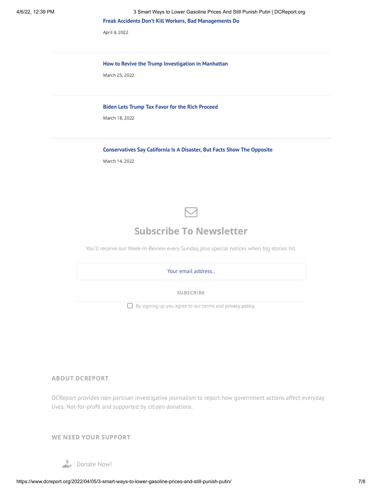April 4, [2022](https://www.dcreport.org/2022/04/04/freak-accidents-dont-kill-workers-bad-managements-do/)

#### **How to Revive the Trump [Investigation](https://www.dcreport.org/2022/03/25/how-to-revive-the-trump-investigation-in-manhattan/) in Manhattan**

[March](https://www.dcreport.org/2022/03/25/how-to-revive-the-trump-investigation-in-manhattan/) 25, 2022

#### **Biden Lets Trump Tax Favor for the Rich [Proceed](https://www.dcreport.org/2022/03/18/biden-lets-trump-tax-favor-for-the-rich-proceed/)**

[March](https://www.dcreport.org/2022/03/18/biden-lets-trump-tax-favor-for-the-rich-proceed/) 18, 2022

#### **[Conservatives](https://www.dcreport.org/2022/03/14/conservatives-say-california-is-a-disaster-but-facts-show-the-opposite/) Say California Is A Disaster, But Facts Show The Opposite**

[March](https://www.dcreport.org/2022/03/14/conservatives-say-california-is-a-disaster-but-facts-show-the-opposite/) 14, 2022



## Subscribe To Newsletter

You'll receive our Week-In-Review every Sunday, plus special notices when big stories hit.

| Your email address                                              |
|-----------------------------------------------------------------|
| <b>SUBSCRIBE</b>                                                |
| $\Box$ By signing up you agree to our terms and privacy policy. |

#### ABOUT DCREPORT

DCReport provides non-partisan investigative journalism to report how government actions affect everyday lives. Not-for-profit and supported by citizen donations.

WE NEED YOUR SUPPORT